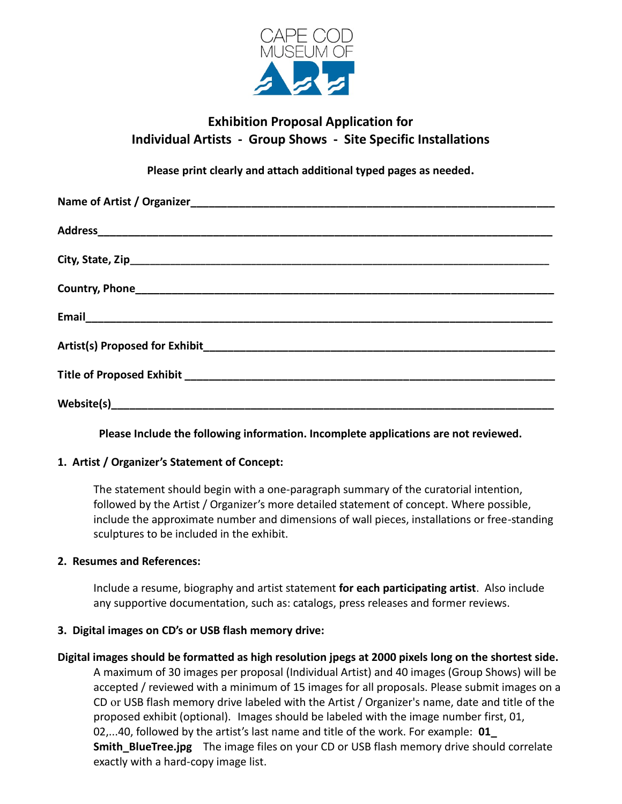

# **Exhibition Proposal Application for Individual Artists - Group Shows - Site Specific Installations**

**Please print clearly and attach additional typed pages as needed.**

**Please Include the following information. Incomplete applications are not reviewed.**

# **1. Artist / Organizer's Statement of Concept:**

 The statement should begin with a one-paragraph summary of the curatorial intention, followed by the Artist / Organizer's more detailed statement of concept. Where possible, include the approximate number and dimensions of wall pieces, installations or free-standing sculptures to be included in the exhibit.

# **2. Resumes and References:**

Include a resume, biography and artist statement **for each participating artist**. Also include any supportive documentation, such as: catalogs, press releases and former reviews.

# **3. Digital images on CD's or USB flash memory drive:**

**Digital images should be formatted as high resolution jpegs at 2000 pixels long on the shortest side.**  A maximum of 30 images per proposal (Individual Artist) and 40 images (Group Shows) will be accepted / reviewed with a minimum of 15 images for all proposals. Please submit images on a CD or USB flash memory drive labeled with the Artist / Organizer's name, date and title of the proposed exhibit (optional). Images should be labeled with the image number first, 01, 02,...40, followed by the artist's last name and title of the work. For example: **01\_ Smith BlueTree.jpg** The image files on your CD or USB flash memory drive should correlate exactly with a hard-copy image list.